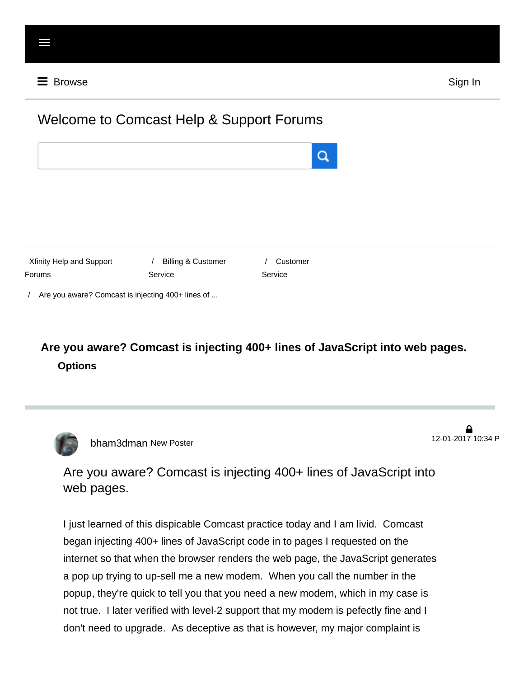# Welcome to Comcast Help & Support Forums





/ Are you aware? Comcast is injecting 400+ lines of ...

# **Are you aware? Comcast is injecting 400+ lines of JavaScript into web pages. Options**



[bham3dman](http://forums.xfinity.com/t5/user/viewprofilepage/user-id/6537013) New Poster 12-01-2017 10:34 P

 $\mathbf{a}$ 

Are you aware? Comcast is injecting 400+ lines of JavaScript into web pages.

I just learned of this dispicable Comcast practice today and I am livid. Comcast began injecting 400+ lines of JavaScript code in to pages I requested on the internet so that when the browser renders the web page, the JavaScript generates a pop up trying to up-sell me a new modem. When you call the number in the popup, they're quick to tell you that you need a new modem, which in my case is not true. I later verified with level-2 support that my modem is pefectly fine and I don't need to upgrade. As deceptive as that is however, my major complaint is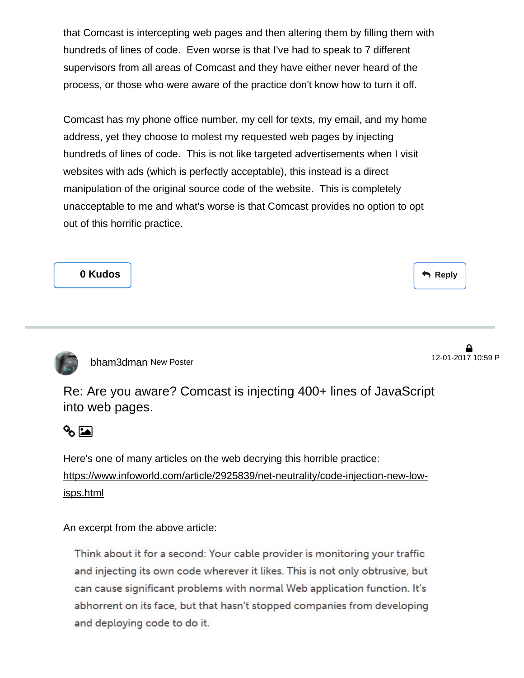that Comcast is intercepting web pages and then altering them by filling them with hundreds of lines of code. Even worse is that I've had to speak to 7 different supervisors from all areas of Comcast and they have either never heard of the process, or those who were aware of the practice don't know how to turn it off.

Comcast has my phone office number, my cell for texts, my email, and my home address, yet they choose to molest my requested web pages by injecting hundreds of lines of code. This is not like targeted advertisements when I visit websites with ads (which is perfectly acceptable), this instead is a direct manipulation of the original source code of the website. This is completely unacceptable to me and what's worse is that Comcast provides no option to opt out of this horrific practice.

**0 Kudos**

Reply



[bham3dman](http://forums.xfinity.com/t5/user/viewprofilepage/user-id/6537013) New Poster

12-01-2017 10:59 P

Re: Are you aware? Comcast is injecting 400+ lines of JavaScript into web pages.



Here's one of many articles on the web decrying this horrible practice: [https://www.infoworld.com/article/2925839/net-neutrality/code-injection-new-low](https://www.infoworld.com/article/2925839/net-neutrality/code-injection-new-low-isps.html)isps.html

An excerpt from the above article:

Think about it for a second: Your cable provider is monitoring your traffic and injecting its own code wherever it likes. This is not only obtrusive, but can cause significant problems with normal Web application function. It's abhorrent on its face, but that hasn't stopped companies from developing and deploying code to do it.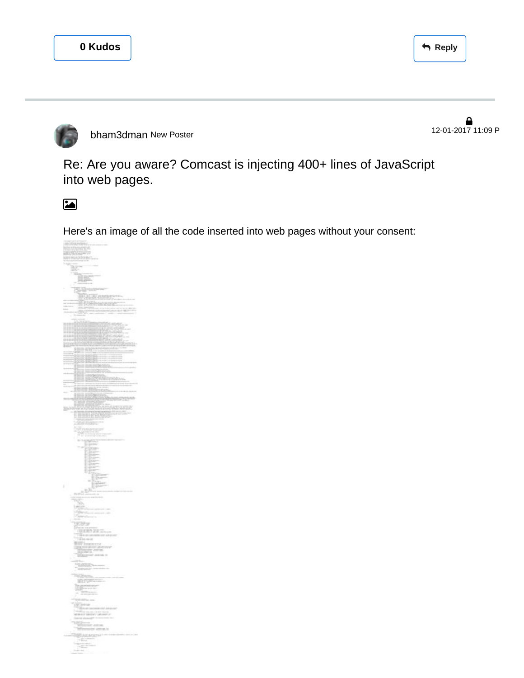

[bham3dman](http://forums.xfinity.com/t5/user/viewprofilepage/user-id/6537013) New Poster 12-01-2017 11:09 P

```
6
```
Re: Are you aware? Comcast is injecting 400+ lines of JavaScript into web pages.

 $\blacksquare$ 

Here's an image of all the code inserted into web pages without your consent:

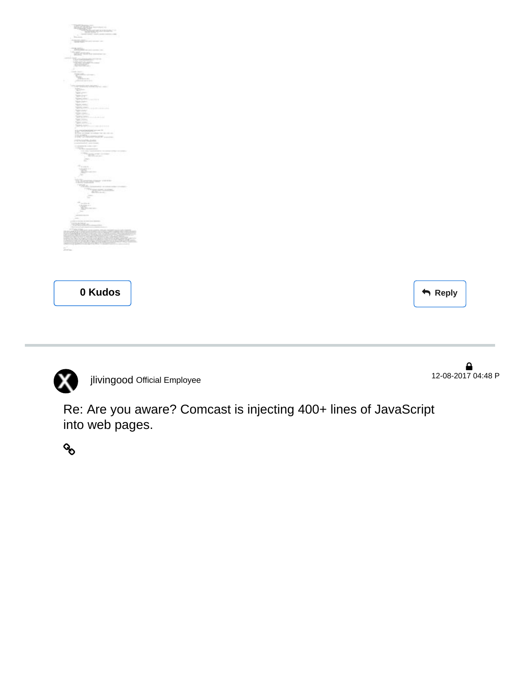| <b>READERS</b>                                                                                                                                                                                                                                                                                                                                  |  |
|-------------------------------------------------------------------------------------------------------------------------------------------------------------------------------------------------------------------------------------------------------------------------------------------------------------------------------------------------|--|
|                                                                                                                                                                                                                                                                                                                                                 |  |
| ÷                                                                                                                                                                                                                                                                                                                                               |  |
|                                                                                                                                                                                                                                                                                                                                                 |  |
| Y,                                                                                                                                                                                                                                                                                                                                              |  |
| è                                                                                                                                                                                                                                                                                                                                               |  |
|                                                                                                                                                                                                                                                                                                                                                 |  |
|                                                                                                                                                                                                                                                                                                                                                 |  |
| ÷                                                                                                                                                                                                                                                                                                                                               |  |
| STATISTICS.                                                                                                                                                                                                                                                                                                                                     |  |
| 'n,<br>k,                                                                                                                                                                                                                                                                                                                                       |  |
| Telephone<br><b>BATTELL</b>                                                                                                                                                                                                                                                                                                                     |  |
| <b>YO</b><br><b>SERVICE</b>                                                                                                                                                                                                                                                                                                                     |  |
|                                                                                                                                                                                                                                                                                                                                                 |  |
| projekti<br>physiol.                                                                                                                                                                                                                                                                                                                            |  |
| <b>ANTICO</b><br><b>ENTLOWN</b>                                                                                                                                                                                                                                                                                                                 |  |
|                                                                                                                                                                                                                                                                                                                                                 |  |
| <b>SERVICE</b><br><b>SERIES</b><br>щ                                                                                                                                                                                                                                                                                                            |  |
| Northern<br>ferront.                                                                                                                                                                                                                                                                                                                            |  |
| Services                                                                                                                                                                                                                                                                                                                                        |  |
| BC<br>that is come the                                                                                                                                                                                                                                                                                                                          |  |
| <b>Marchan</b>                                                                                                                                                                                                                                                                                                                                  |  |
| NON-Jores                                                                                                                                                                                                                                                                                                                                       |  |
|                                                                                                                                                                                                                                                                                                                                                 |  |
| artest climates                                                                                                                                                                                                                                                                                                                                 |  |
| Than<br>533                                                                                                                                                                                                                                                                                                                                     |  |
| mark and                                                                                                                                                                                                                                                                                                                                        |  |
|                                                                                                                                                                                                                                                                                                                                                 |  |
| $\frac{\sum_{i=1}^{n} \sum_{j=1}^{n} \sum_{j=1}^{n} \sum_{j=1}^{n} \sum_{j=1}^{n} \sum_{j=1}^{n} \sum_{j=1}^{n} \sum_{j=1}^{n} \sum_{j=1}^{n} \sum_{j=1}^{n} \sum_{j=1}^{n} \sum_{j=1}^{n} \sum_{j=1}^{n} \sum_{j=1}^{n} \sum_{j=1}^{n} \sum_{j=1}^{n} \sum_{j=1}^{n} \sum_{j=1}^{n} \sum_{j=1}^{n} \sum_{j=1}^{n} \sum_{j=1}^{n} \sum_{j=1}^{$ |  |
|                                                                                                                                                                                                                                                                                                                                                 |  |
| 5To                                                                                                                                                                                                                                                                                                                                             |  |
| m                                                                                                                                                                                                                                                                                                                                               |  |
| cimias<br>e e c<br>z                                                                                                                                                                                                                                                                                                                            |  |
| <b>STERN COLL</b><br>÷                                                                                                                                                                                                                                                                                                                          |  |
| $\frac{1}{2}$                                                                                                                                                                                                                                                                                                                                   |  |
| $\sim$                                                                                                                                                                                                                                                                                                                                          |  |
|                                                                                                                                                                                                                                                                                                                                                 |  |
|                                                                                                                                                                                                                                                                                                                                                 |  |
|                                                                                                                                                                                                                                                                                                                                                 |  |
|                                                                                                                                                                                                                                                                                                                                                 |  |
|                                                                                                                                                                                                                                                                                                                                                 |  |
| pertante.<br>Nacimientos<br>20 I<br>h                                                                                                                                                                                                                                                                                                           |  |
|                                                                                                                                                                                                                                                                                                                                                 |  |
| ist.                                                                                                                                                                                                                                                                                                                                            |  |
|                                                                                                                                                                                                                                                                                                                                                 |  |
|                                                                                                                                                                                                                                                                                                                                                 |  |
|                                                                                                                                                                                                                                                                                                                                                 |  |
|                                                                                                                                                                                                                                                                                                                                                 |  |
|                                                                                                                                                                                                                                                                                                                                                 |  |
|                                                                                                                                                                                                                                                                                                                                                 |  |
|                                                                                                                                                                                                                                                                                                                                                 |  |
| 0 Kudos                                                                                                                                                                                                                                                                                                                                         |  |
|                                                                                                                                                                                                                                                                                                                                                 |  |

**Reply**



[jlivingood](http://forums.xfinity.com/t5/user/viewprofilepage/user-id/553789) Official Employee

 $\bullet$  12-08-2017 04:48 P

Re: Are you aware? Comcast is injecting 400+ lines of JavaScript into web pages.

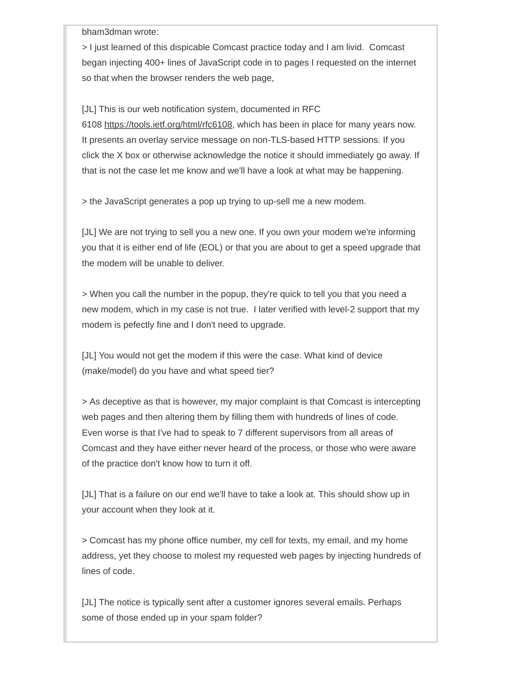bham3dman wrote:

> I just learned of this dispicable Comcast practice today and I am livid. Comcast began injecting 400+ lines of JavaScript code in to pages I requested on the internet so that when the browser renders the web page,

[JL] This is our web notification system, documented in RFC

6108<https://tools.ietf.org/html/rfc6108>, which has been in place for many years now. It presents an overlay service message on non-TLS-based HTTP sessions. If you click the X box or otherwise acknowledge the notice it should immediately go away. If that is not the case let me know and we'll have a look at what may be happening.

> the JavaScript generates a pop up trying to up-sell me a new modem.

[JL] We are not trying to sell you a new one. If you own your modem we're informing you that it is either end of life (EOL) or that you are about to get a speed upgrade that the modem will be unable to deliver.

> When you call the number in the popup, they're quick to tell you that you need a new modem, which in my case is not true. I later verified with level-2 support that my modem is pefectly fine and I don't need to upgrade.

[JL] You would not get the modem if this were the case. What kind of device (make/model) do you have and what speed tier?

> As deceptive as that is however, my major complaint is that Comcast is intercepting web pages and then altering them by filling them with hundreds of lines of code. Even worse is that I've had to speak to 7 different supervisors from all areas of Comcast and they have either never heard of the process, or those who were aware of the practice don't know how to turn it off.

[JL] That is a failure on our end we'll have to take a look at. This should show up in your account when they look at it.

> Comcast has my phone office number, my cell for texts, my email, and my home address, yet they choose to molest my requested web pages by injecting hundreds of lines of code.

[JL] The notice is typically sent after a customer ignores several emails. Perhaps some of those ended up in your spam folder?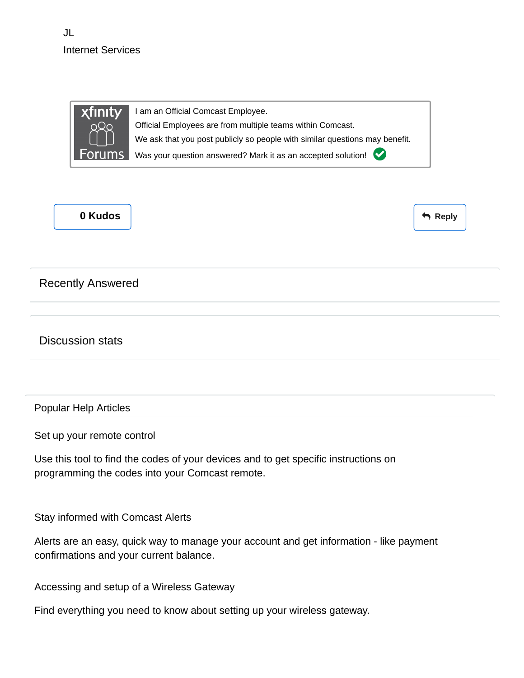JL Internet Services



I am an Official Comcast Employee.

Official Employees are from multiple teams within Comcast.

We ask that you post publicly so people with similar questions may benefit.

Was your question answered? Mark it as an accepted solution!



Reply

## Recently Answered

Discussion stats

### Popular Help Articles

[Set up your remote control](http://customer.comcast.com/remotes/)

Use this tool to find the codes of your devices and to get specific instructions on programming the codes into your Comcast remote.

[Stay informed with Comcast Alerts](http://customer.comcast.com/help-and-support/account/comcast-text-alerts/)

Alerts are an easy, quick way to manage your account and get information - like payment confirmations and your current balance.

[Accessing and setup of a Wireless Gateway](http://customer.comcast.com/help-and-support/internet/intro-wifi-home-network/#Wi-Fi_and_Home_Networking)

Find everything you need to know about setting up your wireless gateway.